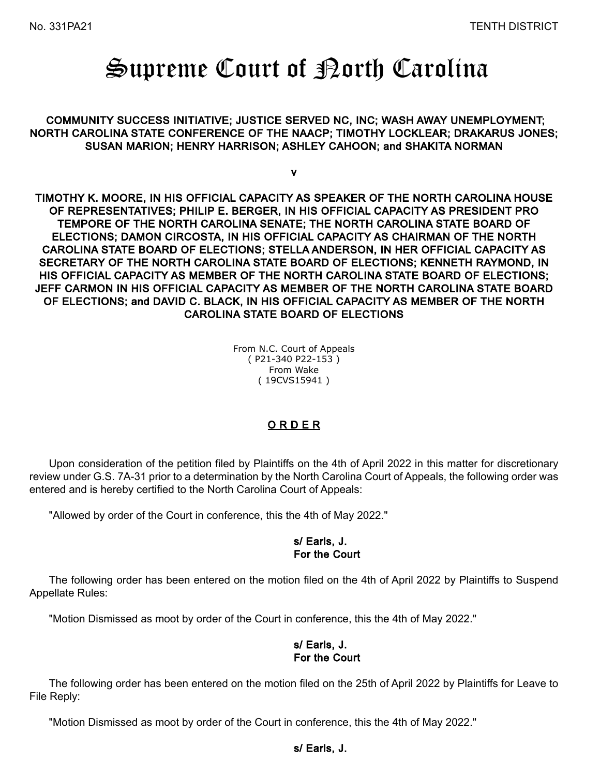# Supreme Court of Borth Carolina

 COMMUNITY SUCCESS INITIATIVE; JUSTICE SERVED NC, INC; WASH AWAY UNEMPLOYMENT; NORTH CAROLINA STATE CONFERENCE OF THE NAACP; TIMOTHY LOCKLEAR; DRAKARUS JONES; SUSAN MARION; HENRY HARRISON; ASHLEY CAHOON; and SHAKITA NORMAN

v

TIMOTHY K. MOORE, IN HIS OFFICIAL CAPACITY AS SPEAKER OF THE NORTH CAROLINA HOUSE OF REPRESENTATIVES; PHILIP E. BERGER, IN HIS OFFICIAL CAPACITY AS PRESIDENT PRO TEMPORE OF THE NORTH CAROLINA SENATE; THE NORTH CAROLINA STATE BOARD OF ELECTIONS; DAMON CIRCOSTA, IN HIS OFFICIAL CAPACITY AS CHAIRMAN OF THE NORTH CAROLINA STATE BOARD OF ELECTIONS; STELLA ANDERSON, IN HER OFFICIAL CAPACITY AS SECRETARY OF THE NORTH CAROLINA STATE BOARD OF ELECTIONS; KENNETH RAYMOND, IN HIS OFFICIAL CAPACITY AS MEMBER OF THE NORTH CAROLINA STATE BOARD OF ELECTIONS; JEFF CARMON IN HIS OFFICIAL CAPACITY AS MEMBER OF THE NORTH CAROLINA STATE BOARD OF ELECTIONS; and DAVID C. BLACK, IN HIS OFFICIAL CAPACITY AS MEMBER OF THE NORTH CAROLINA STATE BOARD OF ELECTIONS

> From N.C. Court of Appeals ( P21-340 P22-153 ) From Wake ( 19CVS15941 )

# O R D E R

Upon consideration of the petition filed by Plaintiffs on the 4th of April 2022 in this matter for discretionary review under G.S. 7A-31 prior to a determination by the North Carolina Court of Appeals, the following order was entered and is hereby certified to the North Carolina Court of Appeals:

"Allowed by order of the Court in conference, this the 4th of May 2022."

#### s/ Earls, J. For the Court

The following order has been entered on the motion filed on the 4th of April 2022 by Plaintiffs to Suspend Appellate Rules:

"Motion Dismissed as moot by order of the Court in conference, this the 4th of May 2022."

## s/ Earls, J. For the Court

The following order has been entered on the motion filed on the 25th of April 2022 by Plaintiffs for Leave to File Reply:

"Motion Dismissed as moot by order of the Court in conference, this the 4th of May 2022."

#### s/ Earls, J.